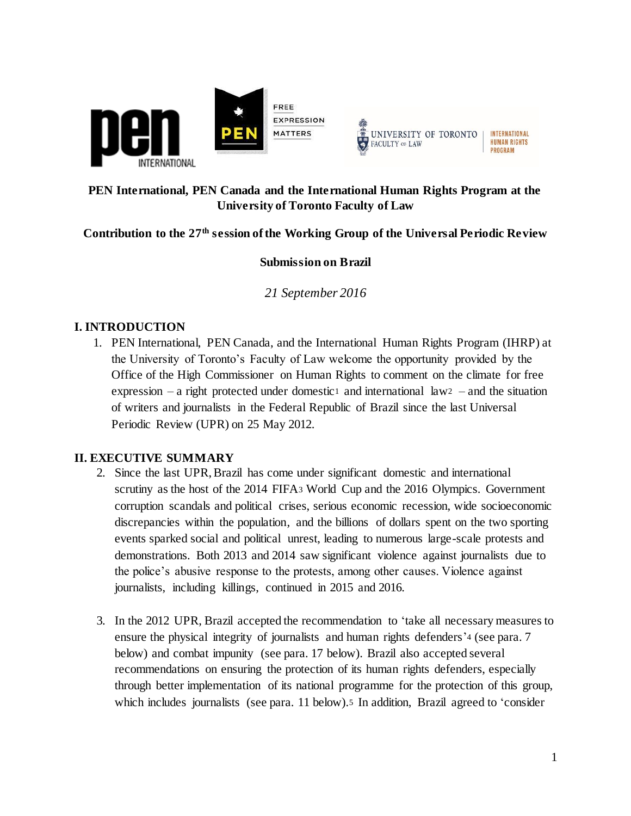

# **PEN International, PEN Canada and the International Human Rights Program at the University of Toronto Faculty of Law**

# **Contribution to the 27th session of the Working Group of the Universal Periodic Review**

## **Submission on Brazil**

*21 September 2016*

## **I. INTRODUCTION**

1. PEN International, PEN Canada, and the International Human Rights Program (IHRP) at the University of Toronto's Faculty of Law welcome the opportunity provided by the Office of the High Commissioner on Human Rights to comment on the climate for free expression – a right protected under domestic<sup>1</sup> and international law<sub>2</sub> – and the situation of writers and journalists in the Federal Republic of Brazil since the last Universal Periodic Review (UPR) on 25 May 2012.

## **II. EXECUTIVE SUMMARY**

- 2. Since the last UPR, Brazil has come under significant domestic and international scrutiny as the host of the 2014 FIFA<sup>3</sup> World Cup and the 2016 Olympics. Government corruption scandals and political crises, serious economic recession, wide socioeconomic discrepancies within the population, and the billions of dollars spent on the two sporting events sparked social and political unrest, leading to numerous large-scale protests and demonstrations. Both 2013 and 2014 saw significant violence against journalists due to the police's abusive response to the protests, among other causes. Violence against journalists, including killings, continued in 2015 and 2016.
- 3. In the 2012 UPR, Brazil accepted the recommendation to 'take all necessary measures to ensure the physical integrity of journalists and human rights defenders'<sup>4</sup> (see para. 7 below) and combat impunity (see para. 17 below). Brazil also accepted several recommendations on ensuring the protection of its human rights defenders, especially through better implementation of its national programme for the protection of this group, which includes journalists (see para. 11 below).<sup>5</sup> In addition, Brazil agreed to 'consider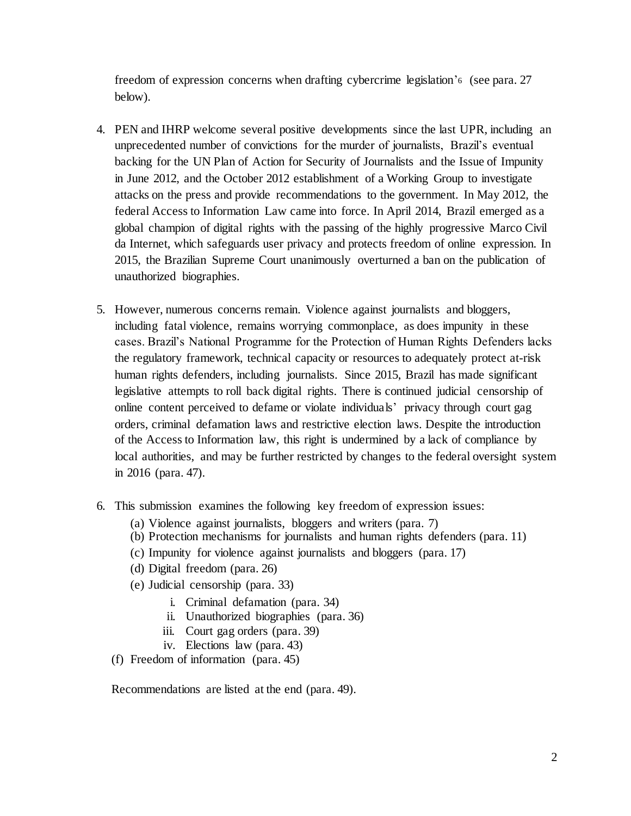freedom of expression concerns when drafting cybercrime legislation'<sup>6</sup> (see para. 27 below).

- 4. PEN and IHRP welcome several positive developments since the last UPR, including an unprecedented number of convictions for the murder of journalists, Brazil's eventual backing for the UN Plan of Action for Security of Journalists and the Issue of Impunity in June 2012, and the October 2012 establishment of a Working Group to investigate attacks on the press and provide recommendations to the government. In May 2012, the federal Access to Information Law came into force. In April 2014, Brazil emerged as a global champion of digital rights with the passing of the highly progressive Marco Civil da Internet, which safeguards user privacy and protects freedom of online expression. In 2015, the Brazilian Supreme Court unanimously overturned a ban on the publication of unauthorized biographies.
- 5. However, numerous concerns remain. Violence against journalists and bloggers, including fatal violence, remains worrying commonplace, as does impunity in these cases. Brazil's National Programme for the Protection of Human Rights Defenders lacks the regulatory framework, technical capacity or resources to adequately protect at-risk human rights defenders, including journalists. Since 2015, Brazil has made significant legislative attempts to roll back digital rights. There is continued judicial censorship of online content perceived to defame or violate individuals' privacy through court gag orders, criminal defamation laws and restrictive election laws. Despite the introduction of the Access to Information law, this right is undermined by a lack of compliance by local authorities, and may be further restricted by changes to the federal oversight system in 2016 (para. 47).
- 6. This submission examines the following key freedom of expression issues:
	- (a) Violence against journalists, bloggers and writers (para. 7)
	- (b) Protection mechanisms for journalists and human rights defenders (para. 11)
	- (c) Impunity for violence against journalists and bloggers (para. 17)
	- (d) Digital freedom (para. 26)
	- (e) Judicial censorship (para. 33)
		- i. Criminal defamation (para. 34)
		- ii. Unauthorized biographies (para. 36)
		- iii. Court gag orders (para. 39)
		- iv. Elections law (para. 43)
	- (f) Freedom of information (para. 45)

Recommendations are listed at the end (para. 49).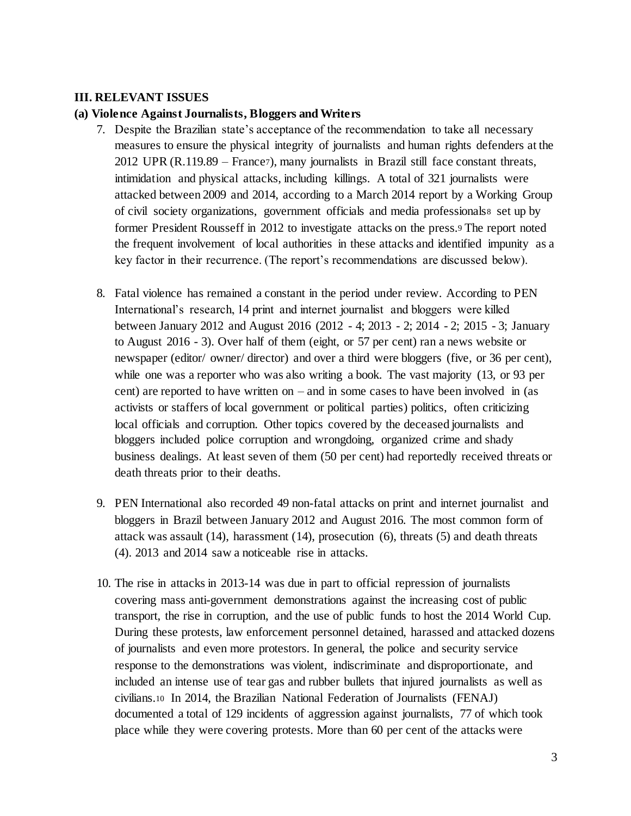#### **III. RELEVANT ISSUES**

#### **(a) Violence Against Journalists, Bloggers and Writers**

- 7. Despite the Brazilian state's acceptance of the recommendation to take all necessary measures to ensure the physical integrity of journalists and human rights defenders at the 2012 UPR (R.119.89 – France7), many journalists in Brazil still face constant threats, intimidation and physical attacks, including killings. A total of 321 journalists were attacked between 2009 and 2014, according to a March 2014 report by a Working Group of civil society organizations, government officials and media professionals<sup>8</sup> set up by former President Rousseff in 2012 to investigate attacks on the press.<sup>9</sup> The report noted the frequent involvement of local authorities in these attacks and identified impunity as a key factor in their recurrence. (The report's recommendations are discussed below).
- 8. Fatal violence has remained a constant in the period under review. According to PEN International's research, 14 print and internet journalist and bloggers were killed between January 2012 and August 2016 (2012 - 4; 2013 - 2; 2014 - 2; 2015 - 3; January to August 2016 - 3). Over half of them (eight, or 57 per cent) ran a news website or newspaper (editor/ owner/ director) and over a third were bloggers (five, or 36 per cent), while one was a reporter who was also writing a book. The vast majority (13, or 93 per cent) are reported to have written on – and in some cases to have been involved in (as activists or staffers of local government or political parties) politics, often criticizing local officials and corruption. Other topics covered by the deceased journalists and bloggers included police corruption and wrongdoing, organized crime and shady business dealings. At least seven of them (50 per cent) had reportedly received threats or death threats prior to their deaths.
- 9. PEN International also recorded 49 non-fatal attacks on print and internet journalist and bloggers in Brazil between January 2012 and August 2016. The most common form of attack was assault  $(14)$ , harassment  $(14)$ , prosecution  $(6)$ , threats  $(5)$  and death threats (4). 2013 and 2014 saw a noticeable rise in attacks.
- 10. The rise in attacks in 2013-14 was due in part to official repression of journalists covering mass anti-government demonstrations against the increasing cost of public transport, the rise in corruption, and the use of public funds to host the 2014 World Cup. During these protests, law enforcement personnel detained, harassed and attacked dozens of journalists and even more protestors. In general, the police and security service response to the demonstrations was violent, indiscriminate and disproportionate, and included an intense use of tear gas and rubber bullets that injured journalists as well as civilians.<sup>10</sup> In 2014, the Brazilian National Federation of Journalists (FENAJ) documented a total of 129 incidents of aggression against journalists, 77 of which took place while they were covering protests. More than 60 per cent of the attacks were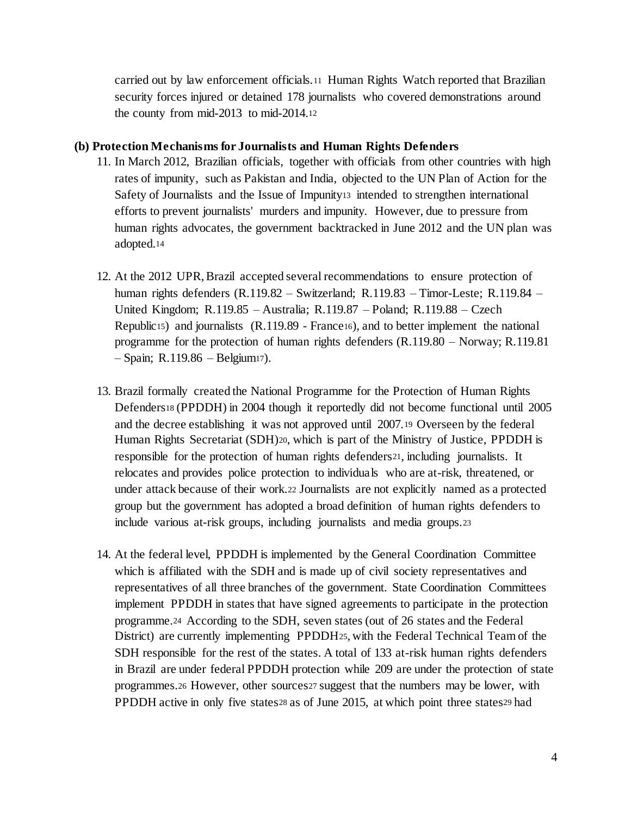carried out by law enforcement officials.<sup>11</sup> Human Rights Watch reported that Brazilian security forces injured or detained 178 journalists who covered demonstrations around the county from mid-2013 to mid-2014.<sup>12</sup>

#### **(b) Protection Mechanisms for Journalists and Human Rights Defenders**

- 11. In March 2012, Brazilian officials, together with officials from other countries with high rates of impunity, such as Pakistan and India, objected to the UN Plan of Action for the Safety of Journalists and the Issue of Impunity<sup>13</sup> intended to strengthen international efforts to prevent journalists' murders and impunity. However, due to pressure from human rights advocates, the government backtracked in June 2012 and the UN plan was adopted.<sup>14</sup>
- 12. At the 2012 UPR, Brazil accepted several recommendations to ensure protection of human rights defenders (R.119.82 – Switzerland; R.119.83 – Timor-Leste; R.119.84 – United Kingdom; R.119.85 – Australia; R.119.87 – Poland; R.119.88 – Czech Republic15) and journalists (R.119.89 - France16), and to better implement the national programme for the protection of human rights defenders (R.119.80 – Norway; R.119.81 – Spain; R.119.86 – Belgium17).
- 13. Brazil formally created the National Programme for the Protection of Human Rights Defenders<sup>18</sup> (PPDDH) in 2004 though it reportedly did not become functional until 2005 and the decree establishing it was not approved until 2007.<sup>19</sup> Overseen by the federal Human Rights Secretariat (SDH)20, which is part of the Ministry of Justice, PPDDH is responsible for the protection of human rights defenders21, including journalists. It relocates and provides police protection to individuals who are at-risk, threatened, or under attack because of their work.<sup>22</sup> Journalists are not explicitly named as a protected group but the government has adopted a broad definition of human rights defenders to include various at-risk groups, including journalists and media groups.<sup>23</sup>
- 14. At the federal level, PPDDH is implemented by the General Coordination Committee which is affiliated with the SDH and is made up of civil society representatives and representatives of all three branches of the government. State Coordination Committees implement PPDDH in states that have signed agreements to participate in the protection programme.<sup>24</sup> According to the SDH, seven states (out of 26 states and the Federal District) are currently implementing PPDDH25, with the Federal Technical Team of the SDH responsible for the rest of the states. A total of 133 at-risk human rights defenders in Brazil are under federal PPDDH protection while 209 are under the protection of state programmes.<sup>26</sup> However, other sources<sup>27</sup> suggest that the numbers may be lower, with PPDDH active in only five states28 as of June 2015, at which point three states29 had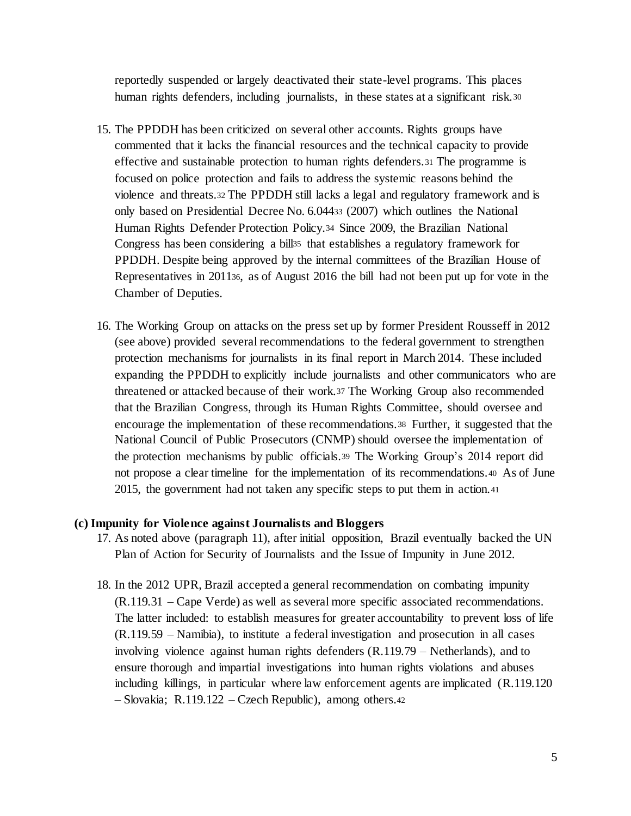reportedly suspended or largely deactivated their state-level programs. This places human rights defenders, including journalists, in these states at a significant risk.<sup>30</sup>

- 15. The PPDDH has been criticized on several other accounts. Rights groups have commented that it lacks the financial resources and the technical capacity to provide effective and sustainable protection to human rights defenders.<sup>31</sup> The programme is focused on police protection and fails to address the systemic reasons behind the violence and threats.<sup>32</sup> The PPDDH still lacks a legal and regulatory framework and is only based on Presidential Decree No. 6.044<sup>33</sup> (2007) which outlines the National Human Rights Defender Protection Policy.<sup>34</sup> Since 2009, the Brazilian National Congress has been considering a bill<sup>35</sup> that establishes a regulatory framework for PPDDH. Despite being approved by the internal committees of the Brazilian House of Representatives in 201136, as of August 2016 the bill had not been put up for vote in the Chamber of Deputies.
- 16. The Working Group on attacks on the press set up by former President Rousseff in 2012 (see above) provided several recommendations to the federal government to strengthen protection mechanisms for journalists in its final report in March 2014. These included expanding the PPDDH to explicitly include journalists and other communicators who are threatened or attacked because of their work.<sup>37</sup> The Working Group also recommended that the Brazilian Congress, through its Human Rights Committee, should oversee and encourage the implementation of these recommendations.<sup>38</sup> Further, it suggested that the National Council of Public Prosecutors (CNMP) should oversee the implementation of the protection mechanisms by public officials.<sup>39</sup> The Working Group's 2014 report did not propose a clear timeline for the implementation of its recommendations.<sup>40</sup> As of June 2015, the government had not taken any specific steps to put them in action.<sup>41</sup>

#### **(c) Impunity for Violence against Journalists and Bloggers**

- 17. As noted above (paragraph 11), after initial opposition, Brazil eventually backed the UN Plan of Action for Security of Journalists and the Issue of Impunity in June 2012.
- 18. In the 2012 UPR, Brazil accepted a general recommendation on combating impunity (R.119.31 – Cape Verde) as well as several more specific associated recommendations. The latter included: to establish measures for greater accountability to prevent loss of life (R.119.59 – Namibia), to institute a federal investigation and prosecution in all cases involving violence against human rights defenders (R.119.79 – Netherlands), and to ensure thorough and impartial investigations into human rights violations and abuses including killings, in particular where law enforcement agents are implicated (R.119.120 – Slovakia; R.119.122 – Czech Republic), among others.<sup>42</sup>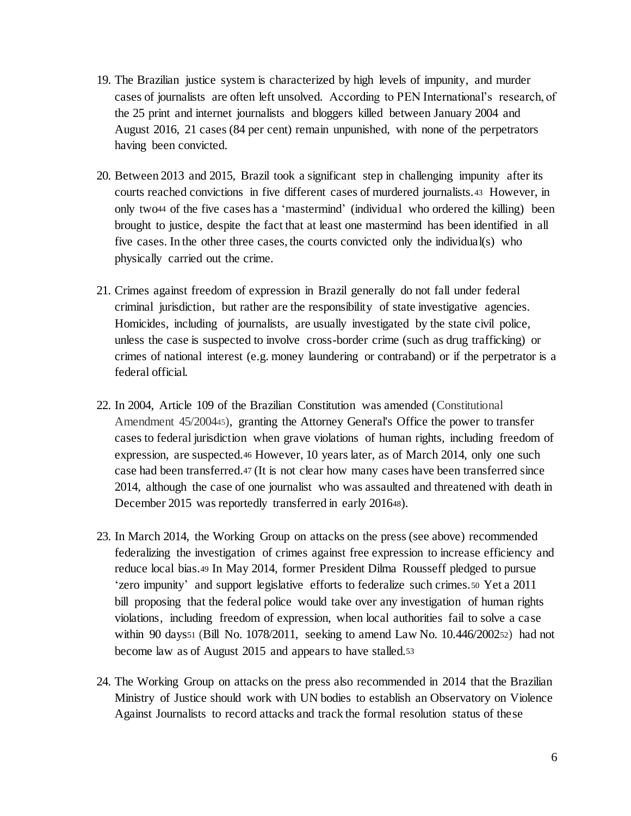- 19. The Brazilian justice system is characterized by high levels of impunity, and murder cases of journalists are often left unsolved. According to PEN International's research, of the 25 print and internet journalists and bloggers killed between January 2004 and August 2016, 21 cases (84 per cent) remain unpunished, with none of the perpetrators having been convicted.
- 20. Between 2013 and 2015, Brazil took a significant step in challenging impunity after its courts reached convictions in five different cases of murdered journalists.<sup>43</sup> However, in only two<sup>44</sup> of the five cases has a 'mastermind' (individual who ordered the killing) been brought to justice, despite the fact that at least one mastermind has been identified in all five cases. In the other three cases, the courts convicted only the individual(s) who physically carried out the crime.
- 21. Crimes against freedom of expression in Brazil generally do not fall under federal criminal jurisdiction, but rather are the responsibility of state investigative agencies. Homicides, including of journalists, are usually investigated by the state civil police, unless the case is suspected to involve cross-border crime (such as drug trafficking) or crimes of national interest (e.g. money laundering or contraband) or if the perpetrator is a federal official.
- 22. In 2004, Article 109 of the Brazilian Constitution was amended (Constitutional Amendment 45/200445), granting the Attorney General's Office the power to transfer cases to federal jurisdiction when grave violations of human rights, including freedom of expression, are suspected.<sup>46</sup> However, 10 years later, as of March 2014, only one such case had been transferred.<sup>47</sup> (It is not clear how many cases have been transferred since 2014, although the case of one journalist who was assaulted and threatened with death in December 2015 was reportedly transferred in early 201648).
- 23. In March 2014, the Working Group on attacks on the press (see above) recommended federalizing the investigation of crimes against free expression to increase efficiency and reduce local bias.<sup>49</sup> In May 2014, former President Dilma Rousseff pledged to pursue 'zero impunity' and support legislative efforts to federalize such crimes.<sup>50</sup> Yet a 2011 bill proposing that the federal police would take over any investigation of human rights violations, including freedom of expression, when local authorities fail to solve a case within 90 days<sup>51</sup> (Bill No. 1078/2011, seeking to amend Law No. 10.446/200252) had not become law as of August 2015 and appears to have stalled.<sup>53</sup>
- 24. The Working Group on attacks on the press also recommended in 2014 that the Brazilian Ministry of Justice should work with UN bodies to establish an Observatory on Violence Against Journalists to record attacks and track the formal resolution status of these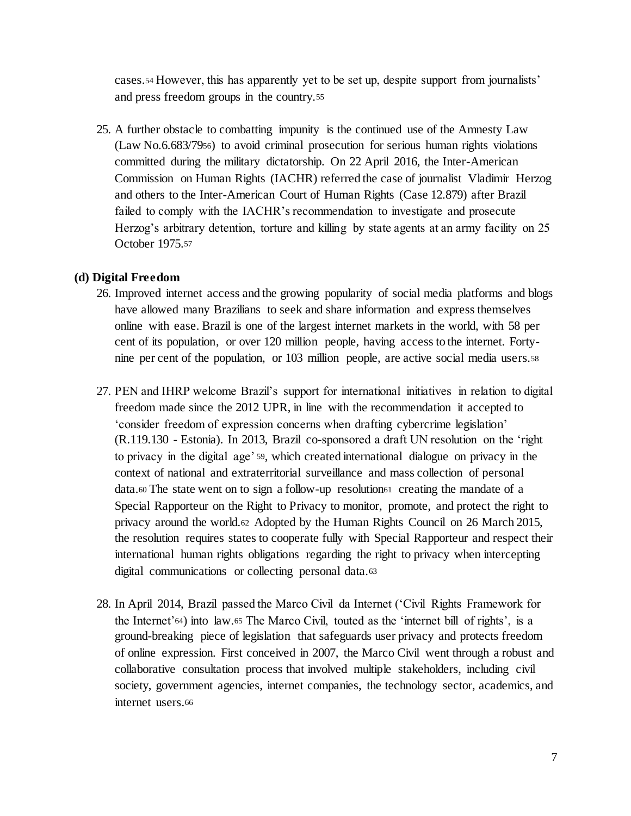cases.<sup>54</sup> However, this has apparently yet to be set up, despite support from journalists' and press freedom groups in the country.<sup>55</sup>

25. A further obstacle to combatting impunity is the continued use of the Amnesty Law (Law No.6.683/7956) to avoid criminal prosecution for serious human rights violations committed during the military dictatorship. On 22 April 2016, the Inter-American Commission on Human Rights (IACHR) referred the case of journalist Vladimir Herzog and others to the Inter-American Court of Human Rights (Case 12.879) after Brazil failed to comply with the IACHR's recommendation to investigate and prosecute Herzog's arbitrary detention, torture and killing by state agents at an army facility on 25 October 1975.<sup>57</sup>

### **(d) Digital Freedom**

- 26. Improved internet access and the growing popularity of social media platforms and blogs have allowed many Brazilians to seek and share information and express themselves online with ease. Brazil is one of the largest internet markets in the world, with 58 per cent of its population, or over 120 million people, having access to the internet. Fortynine per cent of the population, or 103 million people, are active social media users.<sup>58</sup>
- 27. PEN and IHRP welcome Brazil's support for international initiatives in relation to digital freedom made since the 2012 UPR, in line with the recommendation it accepted to 'consider freedom of expression concerns when drafting cybercrime legislation' (R.119.130 - Estonia). In 2013, Brazil co-sponsored a draft UN resolution on the 'right to privacy in the digital age' <sup>59</sup>, which created international dialogue on privacy in the context of national and extraterritorial surveillance and mass collection of personal data.<sup>60</sup> The state went on to sign a follow-up resolution<sup>61</sup> creating the mandate of a Special Rapporteur on the Right to Privacy to monitor, promote, and protect the right to privacy around the world.<sup>62</sup> Adopted by the Human Rights Council on 26 March 2015, the resolution requires states to cooperate fully with Special Rapporteur and respect their international human rights obligations regarding the right to privacy when intercepting digital communications or collecting personal data.<sup>63</sup>
- 28. In April 2014, Brazil passed the Marco Civil da Internet ('Civil Rights Framework for the Internet'64) into law.<sup>65</sup> The Marco Civil, touted as the 'internet bill of rights', is a ground-breaking piece of legislation that safeguards user privacy and protects freedom of online expression. First conceived in 2007, the Marco Civil went through a robust and collaborative consultation process that involved multiple stakeholders, including civil society, government agencies, internet companies, the technology sector, academics, and internet users.66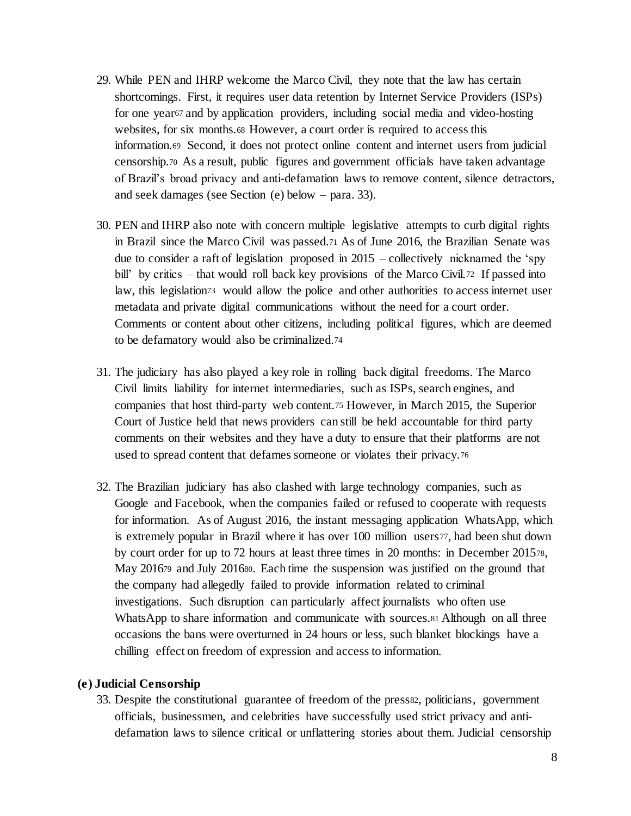- 29. While PEN and IHRP welcome the Marco Civil, they note that the law has certain shortcomings. First, it requires user data retention by Internet Service Providers (ISPs) for one year<sup>67</sup> and by application providers, including social media and video-hosting websites, for six months.<sup>68</sup> However, a court order is required to access this information.<sup>69</sup> Second, it does not protect online content and internet users from judicial censorship.<sup>70</sup> As a result, public figures and government officials have taken advantage of Brazil's broad privacy and anti-defamation laws to remove content, silence detractors, and seek damages (see Section (e) below – para. 33).
- 30. PEN and IHRP also note with concern multiple legislative attempts to curb digital rights in Brazil since the Marco Civil was passed.<sup>71</sup> As of June 2016, the Brazilian Senate was due to consider a raft of legislation proposed in  $2015$  – collectively nicknamed the 'spy bill' by critics – that would roll back key provisions of the Marco Civil.72 If passed into law, this legislation<sup>73</sup> would allow the police and other authorities to access internet user metadata and private digital communications without the need for a court order. Comments or content about other citizens, including political figures, which are deemed to be defamatory would also be criminalized.<sup>74</sup>
- 31. The judiciary has also played a key role in rolling back digital freedoms. The Marco Civil limits liability for internet intermediaries, such as ISPs, search engines, and companies that host third-party web content.<sup>75</sup> However, in March 2015, the Superior Court of Justice held that news providers can still be held accountable for third party comments on their websites and they have a duty to ensure that their platforms are not used to spread content that defames someone or violates their privacy.<sup>76</sup>
- 32. The Brazilian judiciary has also clashed with large technology companies, such as Google and Facebook, when the companies failed or refused to cooperate with requests for information. As of August 2016, the instant messaging application WhatsApp, which is extremely popular in Brazil where it has over 100 million users77, had been shut down by court order for up to 72 hours at least three times in 20 months: in December 201578, May 2016<sup>79</sup> and July 201680. Each time the suspension was justified on the ground that the company had allegedly failed to provide information related to criminal investigations. Such disruption can particularly affect journalists who often use WhatsApp to share information and communicate with sources.<sup>81</sup> Although on all three occasions the bans were overturned in 24 hours or less, such blanket blockings have a chilling effect on freedom of expression and access to information.

#### **(e) Judicial Censorship**

33. Despite the constitutional guarantee of freedom of the press82, politicians, government officials, businessmen, and celebrities have successfully used strict privacy and antidefamation laws to silence critical or unflattering stories about them. Judicial censorship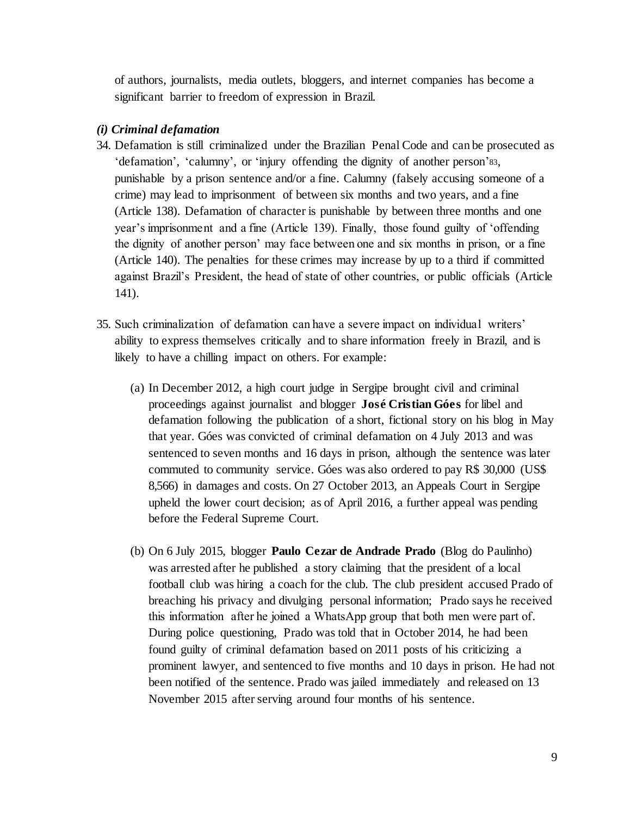of authors, journalists, media outlets, bloggers, and internet companies has become a significant barrier to freedom of expression in Brazil.

### *(i) Criminal defamation*

- 34. Defamation is still criminalized under the Brazilian Penal Code and can be prosecuted as 'defamation', 'calumny', or 'injury offending the dignity of another person'83, punishable by a prison sentence and/or a fine. Calumny (falsely accusing someone of a crime) may lead to imprisonment of between six months and two years, and a fine (Article 138). Defamation of character is punishable by between three months and one year's imprisonment and a fine (Article 139). Finally, those found guilty of 'offending the dignity of another person' may face between one and six months in prison, or a fine (Article 140). The penalties for these crimes may increase by up to a third if committed against Brazil's President, the head of state of other countries, or public officials (Article 141).
- 35. Such criminalization of defamation can have a severe impact on individual writers' ability to express themselves critically and to share information freely in Brazil, and is likely to have a chilling impact on others. For example:
	- (a) In December 2012, a high court judge in Sergipe brought civil and criminal proceedings against journalist and blogger **José Cristian Góes** for libel and defamation following the publication of a short, fictional story on his blog in May that year. Góes was convicted of criminal defamation on 4 July 2013 and was sentenced to seven months and 16 days in prison, although the sentence was later commuted to community service. Góes was also ordered to pay R\$ 30,000 (US\$ 8,566) in damages and costs. On 27 October 2013, an Appeals Court in Sergipe upheld the lower court decision; as of April 2016, a further appeal was pending before the Federal Supreme Court.
	- (b) On 6 July 2015, blogger **Paulo Cezar de Andrade Prado** (Blog do Paulinho) was arrested after he published a story claiming that the president of a local football club was hiring a coach for the club. The club president accused Prado of breaching his privacy and divulging personal information; Prado says he received this information after he joined a WhatsApp group that both men were part of. During police questioning, Prado was told that in October 2014, he had been found guilty of criminal defamation based on 2011 posts of his criticizing a prominent lawyer, and sentenced to five months and 10 days in prison. He had not been notified of the sentence. Prado was jailed immediately and released on 13 November 2015 after serving around four months of his sentence.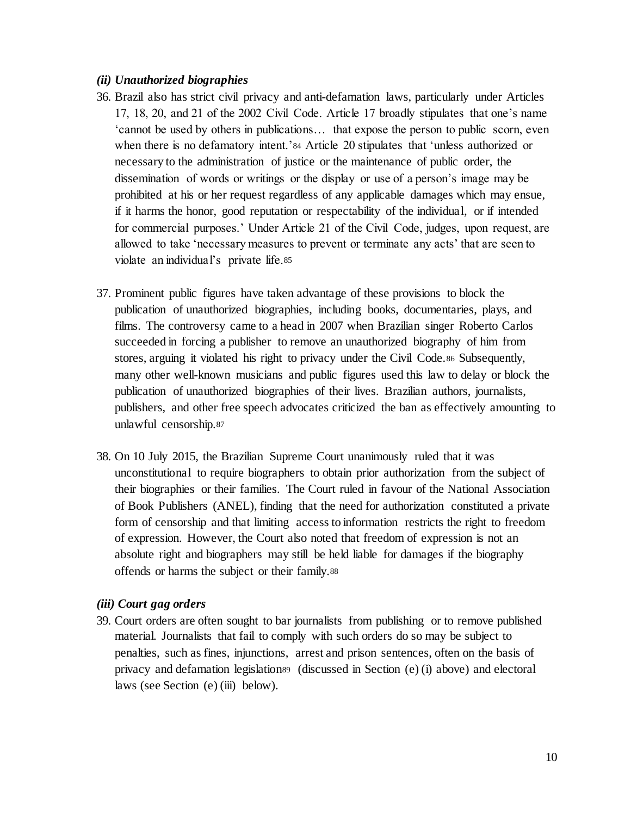#### *(ii) Unauthorized biographies*

- 36. Brazil also has strict civil privacy and anti-defamation laws, particularly under Articles 17, 18, 20, and 21 of the 2002 Civil Code. Article 17 broadly stipulates that one's name 'cannot be used by others in publications… that expose the person to public scorn, even when there is no defamatory intent.'<sup>84</sup> Article 20 stipulates that 'unless authorized or necessary to the administration of justice or the maintenance of public order, the dissemination of words or writings or the display or use of a person's image may be prohibited at his or her request regardless of any applicable damages which may ensue, if it harms the honor, good reputation or respectability of the individual, or if intended for commercial purposes.' Under Article 21 of the Civil Code, judges, upon request, are allowed to take 'necessary measures to prevent or terminate any acts' that are seen to violate an individual's private life.<sup>85</sup>
- 37. Prominent public figures have taken advantage of these provisions to block the publication of unauthorized biographies, including books, documentaries, plays, and films. The controversy came to a head in 2007 when Brazilian singer Roberto Carlos succeeded in forcing a publisher to remove an unauthorized biography of him from stores, arguing it violated his right to privacy under the Civil Code.<sup>86</sup> Subsequently, many other well-known musicians and public figures used this law to delay or block the publication of unauthorized biographies of their lives. Brazilian authors, journalists, publishers, and other free speech advocates criticized the ban as effectively amounting to unlawful censorship.<sup>87</sup>
- 38. On 10 July 2015, the Brazilian Supreme Court unanimously ruled that it was unconstitutional to require biographers to obtain prior authorization from the subject of their biographies or their families. The Court ruled in favour of the National Association of Book Publishers (ANEL), finding that the need for authorization constituted a private form of censorship and that limiting access to information restricts the right to freedom of expression. However, the Court also noted that freedom of expression is not an absolute right and biographers may still be held liable for damages if the biography offends or harms the subject or their family.<sup>88</sup>

### *(iii) Court gag orders*

39. Court orders are often sought to bar journalists from publishing or to remove published material. Journalists that fail to comply with such orders do so may be subject to penalties, such as fines, injunctions, arrest and prison sentences, often on the basis of privacy and defamation legislation<sup>89</sup> (discussed in Section (e) (i) above) and electoral laws (see Section (e) (iii) below).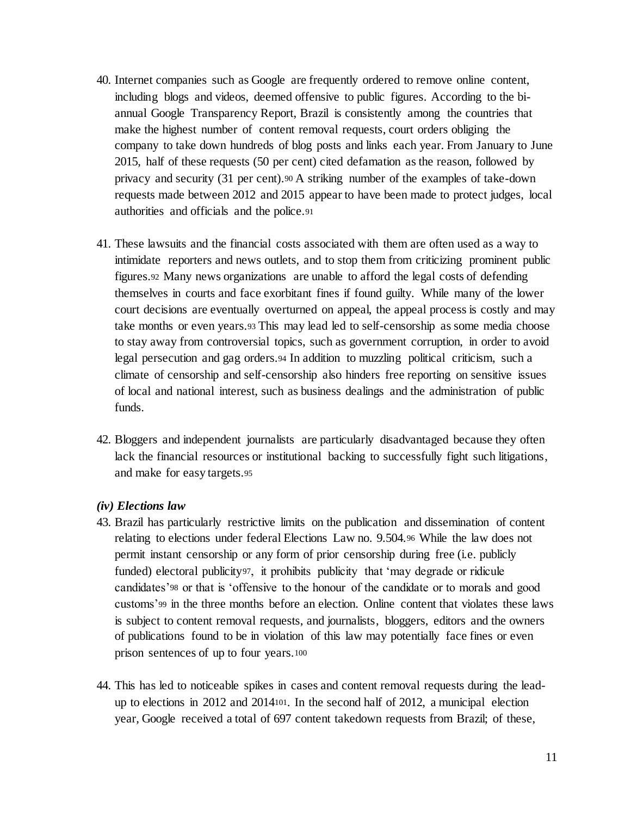- 40. Internet companies such as Google are frequently ordered to remove online content, including blogs and videos, deemed offensive to public figures. According to the biannual Google Transparency Report, Brazil is consistently among the countries that make the highest number of content removal requests, court orders obliging the company to take down hundreds of blog posts and links each year. From January to June 2015, half of these requests (50 per cent) cited defamation as the reason, followed by privacy and security (31 per cent).<sup>90</sup> A striking number of the examples of take-down requests made between 2012 and 2015 appear to have been made to protect judges, local authorities and officials and the police.<sup>91</sup>
- 41. These lawsuits and the financial costs associated with them are often used as a way to intimidate reporters and news outlets, and to stop them from criticizing prominent public figures.<sup>92</sup> Many news organizations are unable to afford the legal costs of defending themselves in courts and face exorbitant fines if found guilty. While many of the lower court decisions are eventually overturned on appeal, the appeal process is costly and may take months or even years.<sup>93</sup> This may lead led to self-censorship as some media choose to stay away from controversial topics, such as government corruption, in order to avoid legal persecution and gag orders.<sup>94</sup> In addition to muzzling political criticism, such a climate of censorship and self-censorship also hinders free reporting on sensitive issues of local and national interest, such as business dealings and the administration of public funds.
- 42. Bloggers and independent journalists are particularly disadvantaged because they often lack the financial resources or institutional backing to successfully fight such litigations, and make for easy targets.<sup>95</sup>

#### *(iv) Elections law*

- 43. Brazil has particularly restrictive limits on the publication and dissemination of content relating to elections under federal Elections Law no. 9.504.<sup>96</sup> While the law does not permit instant censorship or any form of prior censorship during free (i.e. publicly funded) electoral publicity<sup>97</sup>, it prohibits publicity that 'may degrade or ridicule candidates'<sup>98</sup> or that is 'offensive to the honour of the candidate or to morals and good customs'<sup>99</sup> in the three months before an election. Online content that violates these laws is subject to content removal requests, and journalists, bloggers, editors and the owners of publications found to be in violation of this law may potentially face fines or even prison sentences of up to four years.<sup>100</sup>
- 44. This has led to noticeable spikes in cases and content removal requests during the leadup to elections in 2012 and 2014101. In the second half of 2012, a municipal election year, Google received a total of 697 content takedown requests from Brazil; of these,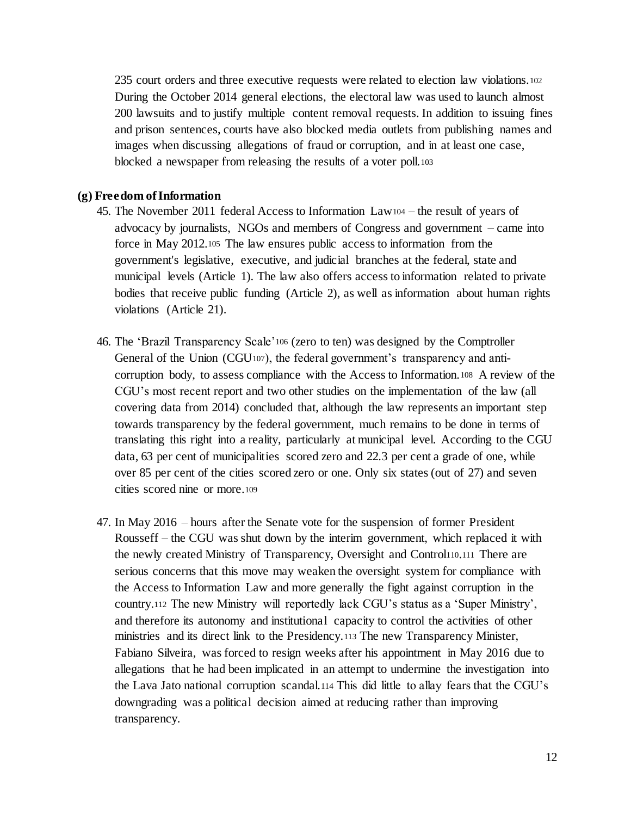235 court orders and three executive requests were related to election law violations.<sup>102</sup> During the October 2014 general elections, the electoral law was used to launch almost 200 lawsuits and to justify multiple content removal requests. In addition to issuing fines and prison sentences, courts have also blocked media outlets from publishing names and images when discussing allegations of fraud or corruption, and in at least one case, blocked a newspaper from releasing the results of a voter poll.<sup>103</sup>

### **(g) Freedom of Information**

- 45. The November 2011 federal Access to Information Law<sup>104</sup> the result of years of advocacy by journalists, NGOs and members of Congress and government – came into force in May 2012.<sup>105</sup> The law ensures public access to information from the government's legislative, executive, and judicial branches at the federal, state and municipal levels (Article 1). The law also offers access to information related to private bodies that receive public funding (Article 2), as well as information about human rights violations (Article 21).
- 46. The 'Brazil Transparency Scale'<sup>106</sup> (zero to ten) was designed by the Comptroller General of the Union (CGU107), the federal government's transparency and anticorruption body, to assess compliance with the Access to Information.<sup>108</sup> A review of the CGU's most recent report and two other studies on the implementation of the law (all covering data from 2014) concluded that, although the law represents an important step towards transparency by the federal government, much remains to be done in terms of translating this right into a reality, particularly at municipal level. According to the CGU data, 63 per cent of municipalities scored zero and 22.3 per cent a grade of one, while over 85 per cent of the cities scored zero or one. Only six states (out of 27) and seven cities scored nine or more.<sup>109</sup>
- 47. In May 2016 hours after the Senate vote for the suspension of former President Rousseff – the CGU was shut down by the interim government, which replaced it with the newly created Ministry of Transparency, Oversight and Control110.<sup>111</sup> There are serious concerns that this move may weaken the oversight system for compliance with the Access to Information Law and more generally the fight against corruption in the country.<sup>112</sup> The new Ministry will reportedly lack CGU's status as a 'Super Ministry', and therefore its autonomy and institutional capacity to control the activities of other ministries and its direct link to the Presidency.<sup>113</sup> The new Transparency Minister, Fabiano Silveira, was forced to resign weeks after his appointment in May 2016 due to allegations that he had been implicated in an attempt to undermine the investigation into the Lava Jato national corruption scandal.<sup>114</sup> This did little to allay fears that the CGU's downgrading was a political decision aimed at reducing rather than improving transparency.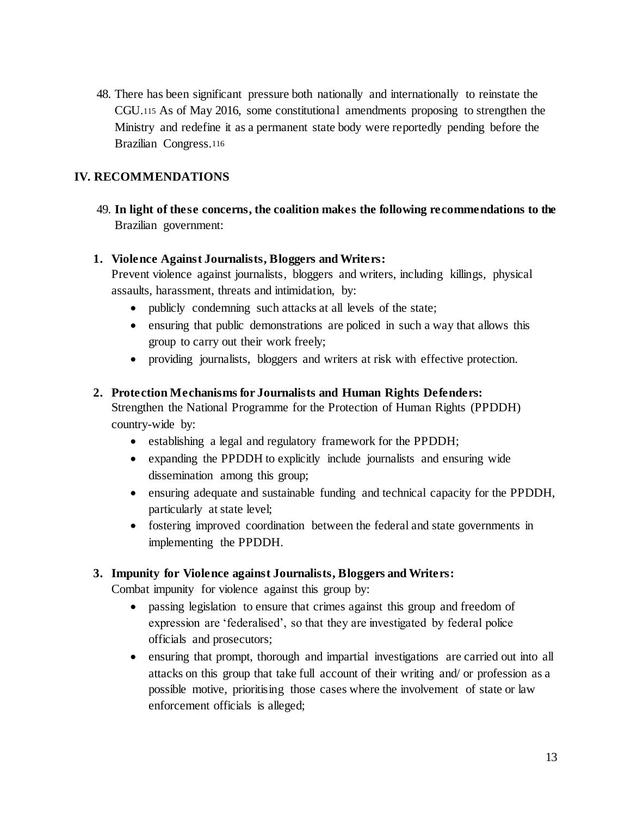48. There has been significant pressure both nationally and internationally to reinstate the CGU.<sup>115</sup> As of May 2016, some constitutional amendments proposing to strengthen the Ministry and redefine it as a permanent state body were reportedly pending before the Brazilian Congress.<sup>116</sup>

# **IV. RECOMMENDATIONS**

49. **In light of these concerns, the coalition makes the following recommendations to the**  Brazilian government:

### **1. Violence Against Journalists, Bloggers and Writers:**

Prevent violence against journalists, bloggers and writers, including killings, physical assaults, harassment, threats and intimidation, by:

- publicly condemning such attacks at all levels of the state;
- ensuring that public demonstrations are policed in such a way that allows this group to carry out their work freely;
- providing journalists, bloggers and writers at risk with effective protection.

### **2. Protection Mechanisms for Journalists and Human Rights Defenders:**

Strengthen the National Programme for the Protection of Human Rights (PPDDH) country-wide by:

- establishing a legal and regulatory framework for the PPDDH;
- expanding the PPDDH to explicitly include journalists and ensuring wide dissemination among this group;
- ensuring adequate and sustainable funding and technical capacity for the PPDDH, particularly at state level;
- fostering improved coordination between the federal and state governments in implementing the PPDDH.

### **3. Impunity for Violence against Journalists, Bloggers and Writers:**

Combat impunity for violence against this group by:

- passing legislation to ensure that crimes against this group and freedom of expression are 'federalised', so that they are investigated by federal police officials and prosecutors;
- ensuring that prompt, thorough and impartial investigations are carried out into all attacks on this group that take full account of their writing and/ or profession as a possible motive, prioritising those cases where the involvement of state or law enforcement officials is alleged;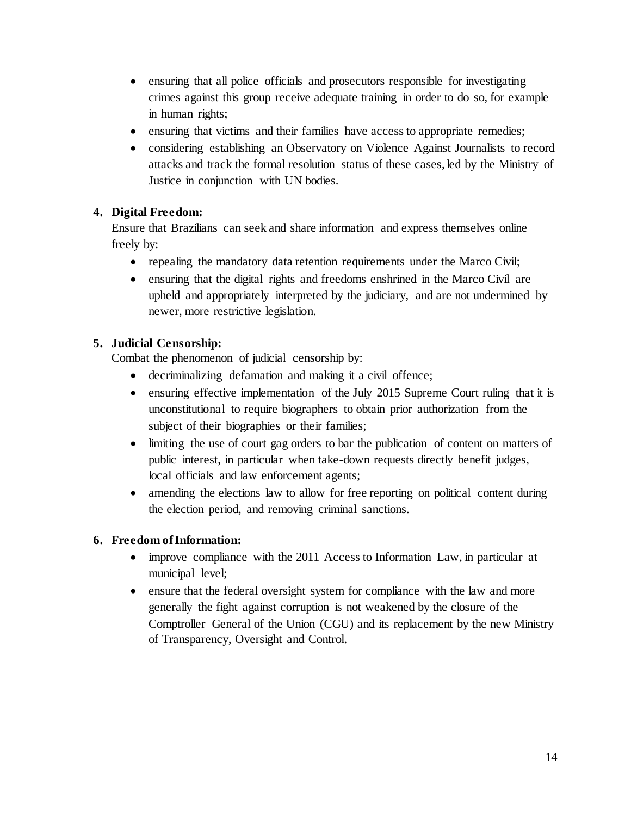- ensuring that all police officials and prosecutors responsible for investigating crimes against this group receive adequate training in order to do so, for example in human rights;
- ensuring that victims and their families have access to appropriate remedies;
- considering establishing an Observatory on Violence Against Journalists to record attacks and track the formal resolution status of these cases, led by the Ministry of Justice in conjunction with UN bodies.

# **4. Digital Freedom:**

Ensure that Brazilians can seek and share information and express themselves online freely by:

- repealing the mandatory data retention requirements under the Marco Civil;
- ensuring that the digital rights and freedoms enshrined in the Marco Civil are upheld and appropriately interpreted by the judiciary, and are not undermined by newer, more restrictive legislation.

# **5. Judicial Censorship:**

Combat the phenomenon of judicial censorship by:

- decriminalizing defamation and making it a civil offence;
- ensuring effective implementation of the July 2015 Supreme Court ruling that it is unconstitutional to require biographers to obtain prior authorization from the subject of their biographies or their families;
- limiting the use of court gag orders to bar the publication of content on matters of public interest, in particular when take-down requests directly benefit judges, local officials and law enforcement agents;
- amending the elections law to allow for free reporting on political content during the election period, and removing criminal sanctions.

# **6. Freedom of Information:**

- improve compliance with the 2011 Access to Information Law, in particular at municipal level;
- ensure that the federal oversight system for compliance with the law and more generally the fight against corruption is not weakened by the closure of the Comptroller General of the Union (CGU) and its replacement by the new Ministry of Transparency, Oversight and Control.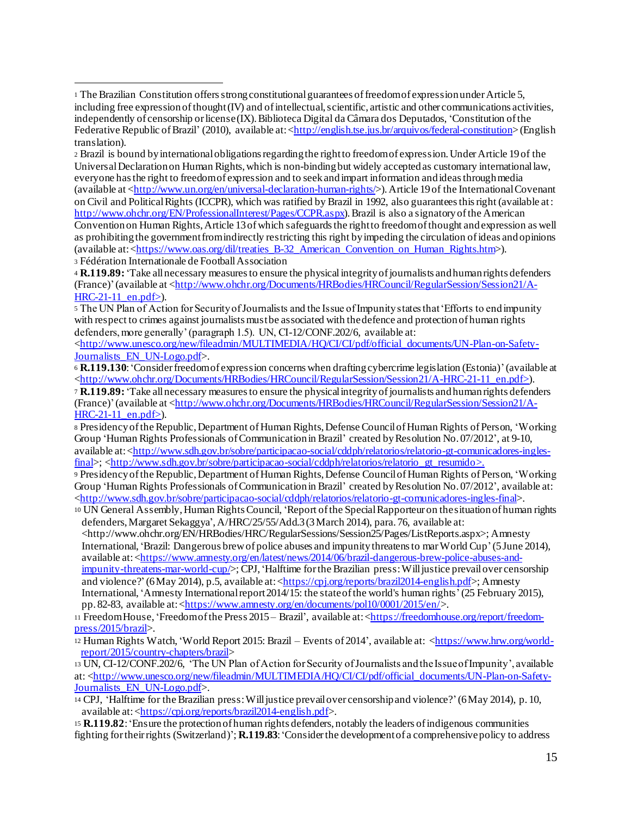<sup>3</sup> Fédération Internationale de Football Association

<sup>4</sup> **R.119.89:**'Take all necessary measures to ensure the physical integrity of journalists and human rights defenders (France)'(available at <http://www.ohchr.org/Documents/HRBodies/HRCouncil/RegularSession/Session21/A-HRC-21-11en.pdf>).

<sup>5</sup> The UN Plan of Action for Security of Journalists and the Issue of Impunity states that 'Efforts to end impunity with respect to crimes against journalists must be associated with the defence and protection of human rights defenders, more generally' (paragraph 1.5). UN, CI-12/CONF.202/6, available at:

 $\langle \text{http://www.unesco.org/news/fileadmin/MULTIMEDIA/HQ/CI/Cd/official-documents/UN-Plan-on-Safety-} \rangle$ Journalists\_EN\_UN-Logo.pdf>.

<sup>6</sup> **R.119.130**: 'Consider freedom of expression concerns when drafting cybercrime legislation (Estonia)'(available at <http://www.ohchr.org/Documents/HRBodies/HRCouncil/RegularSession/Session21/A-HRC-21-11\_en.pdf>).

<sup>7</sup> **R.119.89:** 'Take all necessary measures to ensure the physical integrity of journalists and human rights defenders (France)'(available at <http://www.ohchr.org/Documents/HRBodies/HRCouncil/RegularSession/Session21/A- $HRC-21-11$  en.pdf>).

<sup>8</sup> Presidency of the Republic, Department of Human Rights, Defense Council of Human Rights of Person, 'Working Group 'Human Rights Professionals of Communication in Brazil' created by Resolution No. 07/2012', at 9-10, available at: <http://www.sdh.gov.br/sobre/participacao-social/cddph/relatorios/relatorio-gt-comunicadores-inglesfinal>: <http://www.sdh.gov.br/sobre/participacao-social/cddph/relatorios/relatorio\_gt\_resumido>.

<sup>9</sup> Presidency of the Republic, Department of Human Rights, Defense Council of Human Rights of Person, 'Working Group 'Human Rights Professionals of Communication in Brazil' created by Resolution No. 07/2012', available at: <http://www.sdh.gov.br/sobre/participacao-social/cddph/relatorios/relatorio-gt-comunicadores-ingles-final>.

<sup>10</sup> UN General Assembly, Human Rights Council, 'Report of the Special Rapporteur on the situation of human rights defenders, Margaret Sekaggya', A/HRC/25/55/Add.3 (3 March 2014), para. 76, available at: <http://www.ohchr.org/EN/HRBodies/HRC/RegularSessions/Session25/Pages/ListReports.aspx>; Amnesty International, 'Brazil: Dangerous brew of police abuses and impunity threatens to mar World Cup'(5 June 2014), available at: <https://www.amnesty.org/en/latest/news/2014/06/brazil-dangerous-brew-police-abuses-andimpunity-threatens-mar-world-cup/>; CPJ, 'Halftime for the Brazilian press: Will justice prevail over censorship and violence?' (6 May 2014), p.5, available at: <https://cpj.org/reports/brazil2014-english.pdf>; Amnesty International, 'Amnesty International report  $2014/15$ : the state of the world's human rights<sup>3</sup> (25 February 2015), pp. 82-83, available at: <https://www.amnesty.org/en/documents/pol10/0001/2015/en/>.

<sup>11</sup> Freedom House, 'Freedom of the Press 2015 – Brazil', available at: <https://freedomhouse.org/report/freedompress/2015/brazil>.

12 Human Rights Watch, 'World Report 2015: Brazil – Events of 2014', available at: <https://www.hrw.org/worldreport/2015/country-chapters/brazil>

<sup>13</sup> UN, CI-12/CONF.202/6, 'The UN Plan of Action for Security of Journalists and the Issue of Impunity', available at: <http://www.unesco.org/new/fileadmin/MULTIMEDIA/HQ/CI/CI/pdf/official\_documents/UN-Plan-on-Safety-Journalists\_EN\_UN-Logo.pdf>.

<sup>14</sup> CPJ, 'Halftime for the Brazilian press: Will justice prevail over censorship and violence?'(6 May 2014), p. 10, available at: <https://cpj.org/reports/brazil2014-english.pdf>.

<sup>15</sup> **R.119.82**: 'Ensure the protection of human rights defenders, notably the leaders of indigenous communities fighting for their rights (Switzerland)'; **R.119.83**: 'Consider the development of a comprehensive policy to address

l <sup>1</sup> The Brazilian Constitution offers strong constitutional guarantees of freedom of expression under Article 5, including free expression of thought (IV) and of intellectual, scientific, artistic and other communications activities, independently of censorship or license (IX). Biblioteca Digital da Câmara dos Deputados, 'Constitution of the Federative Republic of Brazil' (2010), available at: <**http://english.tse.jus.br/arquivos/federal-constitution**> (English translation).

<sup>2</sup> Brazil is bound by international obligations regarding the right to freedom of expression. Under Article 19 of the Universal Declaration on Human Rights, which is non-binding but widely accepted as customary international law, everyone has the right to freedom of expression and to seek and impart information and ideas through media (available at <http://www.un.org/en/universal-declaration-human-rights/>). Article 19 of the International Covenant on Civil and Political Rights (ICCPR), which was ratified by Brazil in 1992, also guarantees this right (available at:

http://www.ohchr.org/EN/ProfessionalInterest/Pages/CCPR.aspx). Brazil is also a signatory of the American Convention on Human Rights, Article 13 of which safeguards the right to freedom of thought and expression as well as prohibiting the government from indirectly restricting this right by impeding the circulation of ideas and opinions (available at: <https://www.oas.org/dil/treaties\_B-32\_American\_Convention\_on\_Human\_Rights.htm>).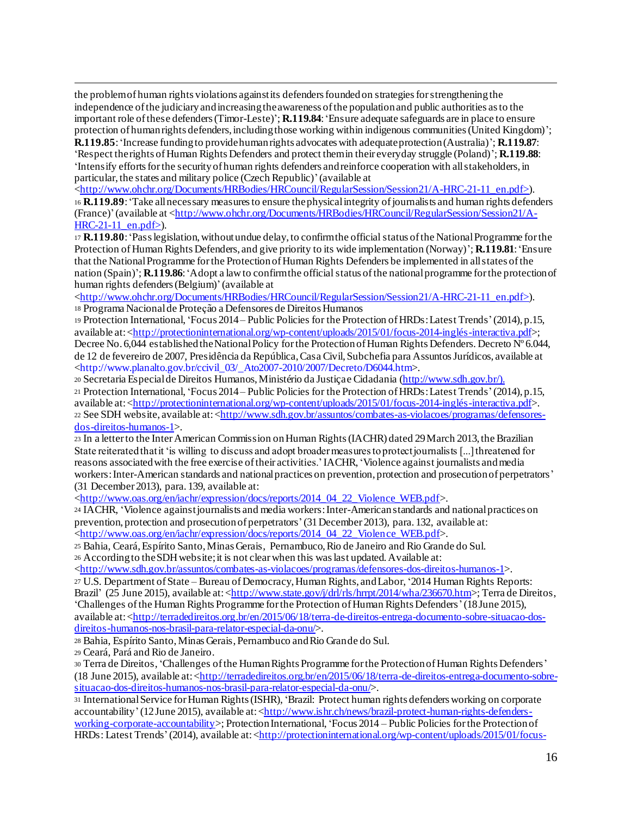l the problem of human rights violations against its defenders founded on strategies for strengthening the independence of the judiciary and increasing the awareness of the population and public authorities as to the important role of these defenders (Timor-Leste)'; **R.119.84**: 'Ensure adequate safeguards are in place to ensure protection of human rights defenders, including those working within indigenous communities (United Kingdom)';

**R.119.85**: 'Increase funding to provide human rights advocates with adequate protection (Australia)'; **R.119.87**: 'Respect the rights of Human Rights Defenders and protect them in their everyday struggle (Poland)'; **R.119.88**: 'Intensify efforts for the security of human rights defenders and reinforce cooperation with all stakeholders, in particular, the states and military police (Czech Republic)'(available at

<http://www.ohchr.org/Documents/HRBodies/HRCouncil/RegularSession/Session21/A-HRC-21-11\_en.pdf>). <sup>16</sup> **R.119.89**: 'Take all necessary measures to ensure the physical integrity of journalists and human rights defenders (France)' (available at <http://www.ohchr.org/Documents/HRBodies/HRCouncil/RegularSession/Session21/A- $HRC-21-11$  en.pdf>).

<sup>17</sup> **R.119.80**: 'Pass legislation, without undue delay, to confirm the official status of the National Programme for the Protection of Human Rights Defenders, and give priority to its wide implementation (Norway)'; **R.119.81**: 'Ensure that the National Programme for the Protection of Human Rights Defenders be implemented in all states of the nation (Spain)'; **R.119.86**: 'Adopt a law to confirm the official status of the national programme for the protection of human rights defenders (Belgium)' (available at

<http://www.ohchr.org/Documents/HRBodies/HRCouncil/RegularSession/Session21/A-HRC-21-11\_en.pdf>). 18 Programa Nacional de Proteção a Defensores de Direitos Humanos

<sup>19</sup> Protection International, 'Focus 2014 – Public Policies for the Protection of HRDs: Latest Trends'(2014), p.15, available at: <http://protectioninternational.org/wp-content/uploads/2015/01/focus-2014-inglés-interactiva.pdf>; Decree No. 6,044 established the National Policy for the Protection of Human Rights Defenders. Decreto  $N^{\circ}$  6.044, de 12 de fevereiro de 2007, Presidência da República, Casa Civil, Subchefia para Assuntos Jurídicos, available at <http://www.planalto.gov.br/ccivil\_03/\_Ato2007-2010/2007/Decreto/D6044.htm>.

<sup>20</sup> Secretaria Especial de Direitos Humanos, Ministério da Justiça e Cidadania (http://www.sdh.gov.br/).

<sup>21</sup> Protection International, 'Focus 2014 – Public Policies for the Protection of HRDs: Latest Trends'(2014), p.15, available at: <http://protectioninternational.org/wp-content/uploads/2015/01/focus-2014-inglés-interactiva.pdf>. <sup>22</sup> See SDH website, available at: <http://www.sdh.gov.br/assuntos/combates-as-violacoes/programas/defensoresdos-direitos-humanos-1>.

<sup>23</sup> In a letter to the Inter American Commission on Human Rights (IACHR) dated 29 March 2013, the Brazilian State reiterated that it 'is willing to discuss and adopt broader measures to protect journalists [...] threatened for reasons associated with the free exercise of their activities.'IACHR, 'Violence against journalists and media workers: Inter-American standards and national practices on prevention, protection and prosecution of perpetrators' (31 December 2013), para. 139, available at:

<http://www.oas.org/en/iachr/expression/docs/reports/2014\_04\_22\_Violence\_WEB.pdf>.

<sup>24</sup> IACHR, 'Violence against journalists and media workers: Inter-American standards and national practices on prevention, protection and prosecution of perpetrators'(31 December 2013), para. 132, available at: <http://www.oas.org/en/iachr/expression/docs/reports/2014\_04\_22\_Violence\_WEB.pdf>.

<sup>25</sup> Bahia, Ceará,Espírito Santo, Minas Gerais, Pernambuco, Rio de Janeiro and Rio Grande do Sul. <sup>26</sup> According to the SDH website; it is not clear when this was last updated. Available at:

<http://www.sdh.gov.br/assuntos/combates-as-violacoes/programas/defensores-dos-direitos-humanos-1>.

<sup>27</sup> U.S. Department of State – Bureau of Democracy, Human Rights, and Labor, '2014 Human Rights Reports: Brazil' (25 June 2015), available at: <http://www.state.gov/j/drl/rls/hrrpt/2014/wha/236670.htm>; Terra de Direitos, 'Challenges of the Human Rights Programme for the Protection of Human Rights Defenders'(18 June 2015),

available at: <http://terradedireitos.org.br/en/2015/06/18/terra-de-direitos-entrega-documento-sobre-situacao-dosdireitos-humanos-nos-brasil-para-relator-especial-da-onu/>.

<sup>28</sup> Bahia, Espírito Santo, Minas Gerais, Pernambuco and Rio Grande do Sul.

<sup>29</sup> Ceará, Pará and Rio de Janeiro.

<sup>30</sup> Terra de Direitos, 'Challenges of the Human Rights Programme for the Protection of Human Rights Defenders' (18 June 2015), available at: <http://terradedireitos.org.br/en/2015/06/18/terra-de-direitos-entrega-documento-sobresituacao-dos-direitos-humanos-nos-brasil-para-relator-especial-da-onu/>.

<sup>31</sup> International Service for Human Rights (ISHR), 'Brazil: Protect human rights defenders working on corporate accountability' (12 June 2015), available at: <http://www.ishr.ch/news/brazil-protect-human-rights-defendersworking-corporate-accountability>; Protection International, 'Focus 2014 – Public Policies for the Protection of HRDs: Latest Trends' (2014), available at: <http://protectioninternational.org/wp-content/uploads/2015/01/focus-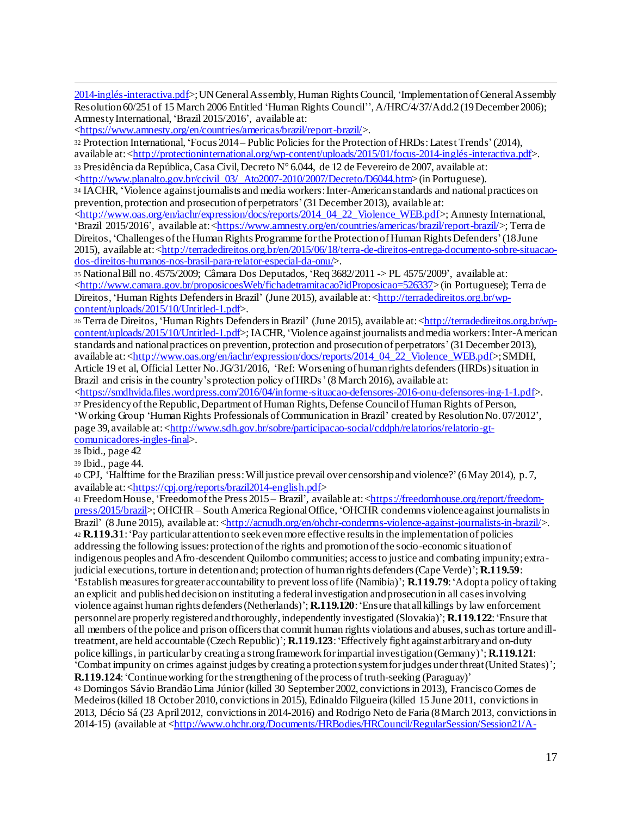l 2014-inglés-interactiva.pdf>; UN General Assembly, Human Rights Council, 'Implementation of General Assembly Resolution 60/251 of 15 March 2006 Entitled 'Human Rights Council'', A/HRC/4/37/Add.2 (19 December 2006); Amnesty International, 'Brazil 2015/2016', available at:

<https://www.amnesty.org/en/countries/americas/brazil/report-brazil/>.

<sup>32</sup> Protection International, 'Focus 2014 – Public Policies for the Protection of HRDs: Latest Trends'(2014), available at: <http://protectioninternational.org/wp-content/uploads/2015/01/focus-2014-inglés-interactiva.pdf>. 33 Presidência da República, Casa Civil, Decreto  $N^{\circ}$  6.044, de 12 de Fevereiro de 2007, available at:

<http://www.planalto.gov.br/ccivil\_03/\_Ato2007-2010/2007/Decreto/D6044.htm> (in Portuguese).

<sup>34</sup> IACHR, 'Violence against journalists and media workers: Inter-American standards and national practices on prevention, protection and prosecution of perpetrators'(31 December 2013), available at:

<http://www.oas.org/en/iachr/expression/docs/reports/2014\_04\_22\_Violence\_WEB.pdf>; Amnesty International, 'Brazil 2015/2016', available at: <https://www.amnesty.org/en/countries/americas/brazil/report-brazil/>; Terra de Direitos, 'Challenges of the Human Rights Programme for the Protection of Human Rights Defenders'(18 June 2015), available at: <http://terradedireitos.org.br/en/2015/06/18/terra-de-direitos-entrega-documento-sobre-situacaodos-direitos-humanos-nos-brasil-para-relator-especial-da-onu/>.

<sup>35</sup> National Bill no. 4575/2009; Câmara Dos Deputados, 'Req 3682/2011 -> PL 4575/2009', available at: <http://www.camara.gov.br/proposicoesWeb/fichadetramitacao?idProposicao=526337> (in Portuguese); Terra de Direitos, 'Human Rights Defenders in Brazil' (June 2015), available at: <http://terradedireitos.org.br/wpcontent/uploads/2015/10/Untitled-1.pdf>.

36 Terra de Direitos, 'Human Rights Defenders in Brazil' (June 2015), available at: <http://terradedireitos.org.br/wpcontent/uploads/2015/10/Untitled-1.pdf>; IACHR, 'Violence against journalists and media workers: Inter-American standards and national practices on prevention, protection and prosecution of perpetrators'(31 December 2013), available at: <http://www.oas.org/en/iachr/expression/docs/reports/2014\_04\_22\_Violence\_WEB.pdf>; SMDH, Article 19 et al, Official Letter No. JG/31/2016, 'Ref: Worsening of human rights defenders (HRDs) situation in Brazil and crisis in the country's protection policy of HRDs' (8 March 2016), available at:

<https://smdhvida.files.wordpress.com/2016/04/informe-situacao-defensores-2016-onu-defensores-ing-1-1.pdf>. <sup>37</sup> Presidency of the Republic, Department of Human Rights, Defense Council of Human Rights of Person,

'Working Group 'Human Rights Professionals of Communication in Brazil' created by Resolution No. 07/2012', page 39, available at: <http://www.sdh.gov.br/sobre/participacao-social/cddph/relatorios/relatorio-gtcomunicadores-ingles-final>.

<sup>38</sup> Ibid., page 42

<sup>39</sup> Ibid., page 44.

<sup>40</sup> CPJ, 'Halftime for the Brazilian press: Will justice prevail over censorship and violence?'(6 May 2014), p. 7, available at: <https://cpj.org/reports/brazil2014-english.pdf>

41 Freedom House, 'Freedom of the Press 2015 – Brazil', available at: <https://freedomhouse.org/report/freedompress/2015/brazil>; OHCHR – South America Regional Office, 'OHCHR condemns violence against journalists in Brazil' (8 June 2015), available at: <<u>http://acnudh.org/en/ohchr-condem</u>ns-violence-against-journalists-in-brazil/>. <sup>42</sup> **R.119.31**: 'Pay particular attention to seek even more effective results in the implementation of policies addressing the following issues: protection of the rights and promotion of the socio-economic situation of indigenous peoples and Afro-descendent Quilombo communities; access to justice and combating impunity; extrajudicial executions, torture in detention and; protection of human rights defenders (Cape Verde)'; **R.119.59**: 'Establish measures for greater accountability to prevent loss of life (Namibia)'; **R.119.79**: 'Adopt a policy of taking an explicit and published decision on instituting a federal investigation and prosecution in all cases involving violence against human rights defenders (Netherlands)'; **R.119.120**: 'Ensure that all killings by law enforcement personnel are properly registered and thoroughly, independently investigated (Slovakia)'; **R.119.122**: 'Ensure that all members of the police and prison officers that commit human rights violations and abuses, such as torture and illtreatment, are held accountable (Czech Republic)'; **R.119.123**: 'Effectively fight against arbitrary and on-duty police killings, in particular by creating a strong framework for impartial investigation (Germany)'; **R.119.121**: 'Combat impunity on crimes against judges by creating a protection system for judges under threat (United States)';

**R.119.124**: 'Continue working for the strengthening of the process of truth-seeking (Paraguay)' <sup>43</sup> Domingos Sávio Brandão Lima Júnior(killed 30 September 2002, convictionsin 2013), Francisco Gomes de Medeiros (killed 18 October 2010, convictions in 2015), Edinaldo Filgueira (killed 15 June 2011, convictions in 2013, Décio Sá (23 April 2012, convictions in 2014-2016) and Rodrigo Neto de Faria (8 March 2013, convictions in 2014-15) (available at <http://www.ohchr.org/Documents/HRBodies/HRCouncil/RegularSession/Session21/A-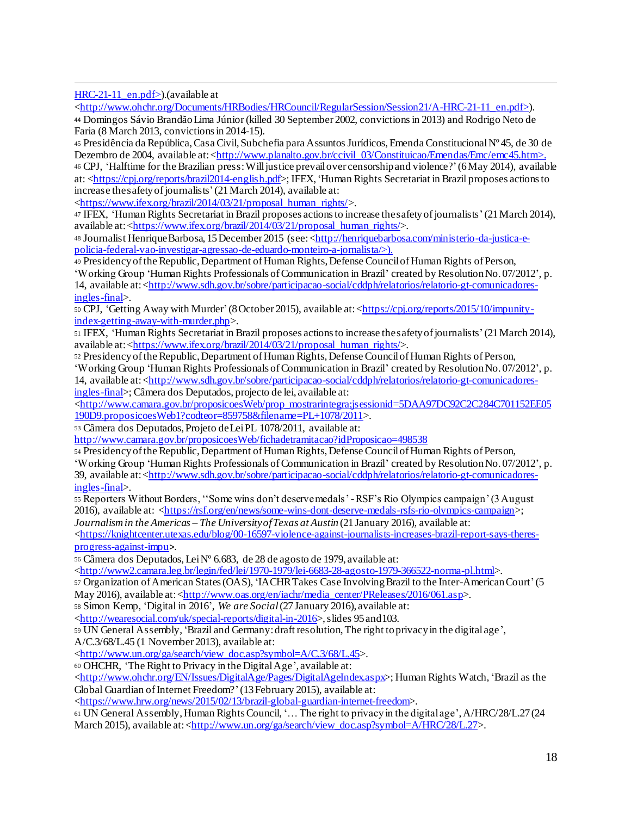l HRC-21-11  $en.pdf$ . (available at

<http://www.ohchr.org/Documents/HRBodies/HRCouncil/RegularSession/Session21/A-HRC-21-11\_en.pdf>).

<sup>44</sup> Domingos Sávio Brandão Lima Júnior(killed 30 September 2002, convictionsin 2013) and Rodrigo Neto de Faria (8 March 2013, convictions in 2014-15).

<sup>45</sup> Presidência da República, Casa Civil, Subchefia para Assuntos Jurídicos, Emenda Constitucional Nº 45, de 30 de Dezembro de 2004, available at: <http://www.planalto.gov.br/ccivil\_03/Constituicao/Emendas/Emc/emc45.htm>. <sup>46</sup> CPJ, 'Halftime for the Brazilian press: Will justice prevail over censorship and violence?'(6 May 2014), available

at: <https://cpj.org/reports/brazil2014-english.pdf>; IFEX, 'Human Rights Secretariat in Brazil proposes actions to increase the safety of journalists'(21 March 2014), available at:

<https://www.ifex.org/brazil/2014/03/21/proposal\_human\_rights/>.

<sup>47</sup> IFEX, 'Human Rights Secretariat in Brazil proposes actions to increase the safety of journalists'(21 March 2014), available at:  $\langle \frac{httDS}{www} \cdot \frac{flex.org/brax}{2014/03/21/proposal} \rangle$  human rights/>.

48 Journalist Henrique Barbosa, 15 December 2015 (see: <**http://henriquebarbosa.com/ministerio-da-justica-e**policia-federal-vao-investigar-agressao-de-eduardo-monteiro-a-jornalista/>).

<sup>49</sup> Presidency of the Republic, Department of Human Rights, Defense Council of Human Rights of Person, 'Working Group 'Human Rights Professionals of Communication in Brazil' created by Resolution No. 07/2012', p. 14, available at: <http://www.sdh.gov.br/sobre/participacao-social/cddph/relatorios/relatorio-gt-comunicadoresingles-final>.

50 CPJ, 'Getting Away with Murder' (8 October 2015), available at: <https://cpj.org/reports/2015/10/impunityindex-getting-away-with-murder.php>.

<sup>51</sup> IFEX, 'Human Rights Secretariat in Brazil proposes actions to increase the safety of journalists'(21 March 2014), available at: <https://www.ifex.org/brazil/2014/03/21/proposal\_human\_rights/>.

<sup>52</sup> Presidency of the Republic, Department of Human Rights, Defense Council of Human Rights of Person,

'Working Group 'Human Rights Professionals of Communication in Brazil' created by Resolution No. 07/2012', p. 14, available at: <http://www.sdh.gov.br/sobre/participacao-social/cddph/relatorios/relatorio-gt-comunicadoresingles-final>; Câmera dos Deputados, projecto de lei, available at:

 $\langle \frac{http://www.camara.gov.br/proposicoesWeb/prop_mostrarintegra;jsessionid=5DAA97DC92C2C284C701152EE05$ 190D9.proposicoesWeb1?codteor=859758&filename=PL+1078/2011>.

<sup>53</sup> Câmera dos Deputados, Projeto de Lei PL 1078/2011, available at:

http://www.camara.gov.br/proposicoesWeb/fichadetramitacao?idProposicao=498538

<sup>54</sup> Presidency of the Republic, Department of Human Rights, Defense Council of Human Rights of Person,

'Working Group 'Human Rights Professionals of Communication in Brazil' created by Resolution No. 07/2012', p. 39, available at: <http://www.sdh.gov.br/sobre/participacao-social/cddph/relatorios/relatorio-gt-comunicadoresingles-final>.

<sup>55</sup> Reporters Without Borders, ''Some wins don't deserve medals'-RSF's Rio Olympics campaign' (3 August 2016), available at: <https://rsf.org/en/news/some-wins-dont-deserve-medals-rsfs-rio-olympics-campaign>;

*Journalism in the Americas – The University of Texas at Austin* (21 January 2016), available at:

<https://knightcenter.utexas.edu/blog/00-16597-violence-against-journalists-increases-brazil-report-says-theresprogress-against-impu>.

<sup>56</sup> Câmera dos Deputados, LeiNº 6.683, de 28 de agosto de 1979, available at:

<http://www2.camara.leg.br/legin/fed/lei/1970-1979/lei-6683-28-agosto-1979-366522-norma-pl.html>.

<sup>57</sup> Organization of American States (OAS), 'IACHR Takes Case Involving Brazil to the Inter-American Court'(5 May 2016), available at: <http://www.oas.org/en/iachr/media\_center/PReleases/2016/061.asp>.

<sup>58</sup> Simon Kemp, 'Digital in 2016', *We are Social*(27 January 2016), available at:

<http://wearesocial.com/uk/special-reports/digital-in-2016>, slides 95 and103.

<sup>59</sup> UN General Assembly, 'Brazil and Germany: draft resolution, The right to privacy in the digital age', A/C.3/68/L.45 (1 November 2013), available at:

<http://www.un.org/ga/search/view\_doc.asp?symbol=A/C.3/68/L.45>. <sup>60</sup> OHCHR, 'The Right to Privacy in the Digital Age', available at:

<http://www.ohchr.org/EN/Issues/DigitalAge/Pages/DigitalAgeIndex.aspx>; Human Rights Watch, 'Brazil as the

Global Guardian of Internet Freedom?'(13 February 2015), available at:

<https://www.hrw.org/news/2015/02/13/brazil-global-guardian-internet-freedom>.

61 UN General Assembly, Human Rights Council, '... The right to privacy in the digital age', A/HRC/28/L.27 (24 March 2015), available at: <http://www.un.org/ga/search/view\_doc.asp?symbol=A/HRC/28/L.27>.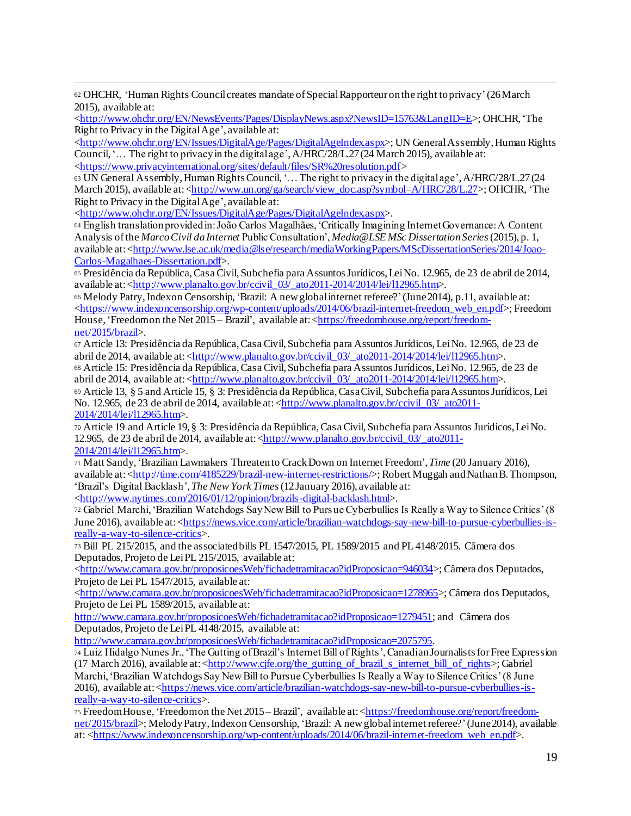l <sup>62</sup> OHCHR, 'Human Rights Council creates mandate of Special Rapporteur on the right to privacy'(26 March 2015), available at:

<http://www.ohchr.org/EN/NewsEvents/Pages/DisplayNews.aspx?NewsID=15763&LangID=E>; OHCHR, 'The Right to Privacy in the Digital Age', available at:

<http://www.ohchr.org/EN/Issues/DigitalAge/Pages/DigitalAgeIndex.aspx>; UN General Assembly, Human Rights Council, '… The right to privacy in the digital age', A/HRC/28/L.27 (24 March 2015), available at: <https://www.privacyinternational.org/sites/default/files/SR%20resolution.pdf>

<sup>63</sup> UN General Assembly, Human Rights Council, '… The right to privacy in the digital age', A/HRC/28/L.27 (24 March 2015), available at: <http://www.un.org/ga/search/view\_doc.asp?symbol=A/HRC/28/L.27>; OHCHR, 'The Right to Privacy in the Digital Age', available at:

<http://www.ohchr.org/EN/Issues/DigitalAge/Pages/DigitalAgeIndex.aspx>.

<sup>64</sup> English translation provided in: João Carlos Magalhães, 'Critically Imagining Internet Governance: A Content Analysis of the *Marco Civil da Internet* Public Consultation', *Media@LSE MSc Dissertation Series*(2015), p. 1, available at: <http://www.lse.ac.uk/media@lse/research/mediaWorkingPapers/MScDissertationSeries/2014/Joao-Carlos-Magalhaes-Dissertation.pdf>.

<sup>65</sup> Presidência da República, Casa Civil, Subchefia para Assuntos Jurídicos, Lei No. 12.965, de 23 de abril de 2014, available at: <http://www.planalto.gov.br/ccivil\_03/\_ato2011-2014/2014/lei/l12965.htm>.

<sup>66</sup> Melody Patry, Index on Censorship, 'Brazil: A new global internet referee?'(June 2014), p.11, available at: <https://www.indexoncensorship.org/wp-content/uploads/2014/06/brazil-internet-freedom\_web\_en.pdf>; Freedom House, 'Freedom on the Net 2015 – Brazil', available at: <https://freedomhouse.org/report/freedomnet/2015/brazil>.

<sup>67</sup> Article 13: Presidência da República, Casa Civil, Subchefia para Assuntos Jurídicos, Lei No. 12.965, de 23 de abril de 2014, available at: <http://www.planalto.gov.br/ccivil 03/\_ato2011-2014/2014/lei/l12965.htm>. <sup>68</sup> Article 15: Presidência da República, Casa Civil, Subchefia para Assuntos Jurídicos, Lei No. 12.965, de 23 de

abril de 2014, available at: <http://www.planalto.gov.br/ccivil 03/\_ato2011-2014/2014/lei/l12965.htm>.

<sup>69</sup> Article 13, § 5 and Article 15, § 3: Presidência da República, Casa Civil, Subchefia para Assuntos Jurídicos, Lei No. 12.965, de 23 de abril de 2014, available at: <http://www.planalto.gov.br/ccivil 03/ ato2011-2014/2014/lei/l12965.htm>.

<sup>70</sup> Article 19 and Article 19, § 3: Presidência da República, Casa Civil, Subchefia para Assuntos Jurídicos, Lei No. 12.965, de 23 de abril de 2014, available at:  $\langle \frac{http://www.planalto.gov.br/ccivil03/$ ato2011-2014/2014/lei/l12965.htm>.

<sup>71</sup> Matt Sandy, 'Brazilian Lawmakers Threaten to Crack Down on Internet Freedom', *Time* (20 January 2016), available at: <http://time.com/4185229/brazil-new-internet-restrictions/>; Robert Muggah and Nathan B. Thompson, 'Brazil's Digital Backlash', *The New York Times*(12 January 2016), available at: <http://www.nytimes.com/2016/01/12/opinion/brazils-digital-backlash.html>.

<sup>72</sup> Gabriel Marchi, 'Brazilian Watchdogs Say New Bill to Pursue Cyberbullies Is Really a Way to Silence Critics' (8 June 2016), available at: <https://news.vice.com/article/brazilian-watchdogs-say-new-bill-to-pursue-cyberbullies-isreally-a-way-to-silence-critics>.

<sup>73</sup> Bill PL 215/2015, and the associated bills PL 1547/2015, PL 1589/2015 and PL 4148/2015. Câmera dos Deputados, Projeto de Lei PL 215/2015, available at:

<http://www.camara.gov.br/proposicoesWeb/fichadetramitacao?idProposicao=946034>; Câmera dos Deputados, Projeto de Lei PL 1547/2015, available at:

<http://www.camara.gov.br/proposicoesWeb/fichadetramitacao?idProposicao=1278965>; Câmera dos Deputados, Projeto de Lei PL 1589/2015, available at:

http://www.camara.gov.br/proposicoesWeb/fichadetramitacao?idProposicao=1279451; and Câmera dos Deputados, Projeto de Lei PL 4148/2015, available at:

http://www.camara.gov.br/proposicoesWeb/fichadetramitacao?idProposicao=2075795.

<sup>74</sup> Luiz Hidalgo Nunes Jr., 'The Gutting of Brazil's Internet Bill of Rights', Canadian Journalists for Free Expression (17 March 2016), available at:  $\frac{\text{http://www.cife.org/the_gutting of 2016} \times \text{internet} \times \text{blue}}{100}$  of rights>; Gabriel Marchi, 'Brazilian Watchdogs Say New Bill to Pursue Cyberbullies Is Really a Way to Silence Critics' (8 June 2016), available at: <https://news.vice.com/article/brazilian-watchdogs-say-new-bill-to-pursue-cyberbullies-is-

really-a-way-to-silence-critics>.

<sup>75</sup> Freedom House, 'Freedom on the Net 2015 – Brazil', available at: <https://freedomhouse.org/report/freedomnet/2015/brazil>; Melody Patry, Index on Censorship, 'Brazil: A new global internet referee?'(June 2014), available at: <https://www.indexoncensorship.org/wp-content/uploads/2014/06/brazil-internet-freedom\_web\_en.pdf>.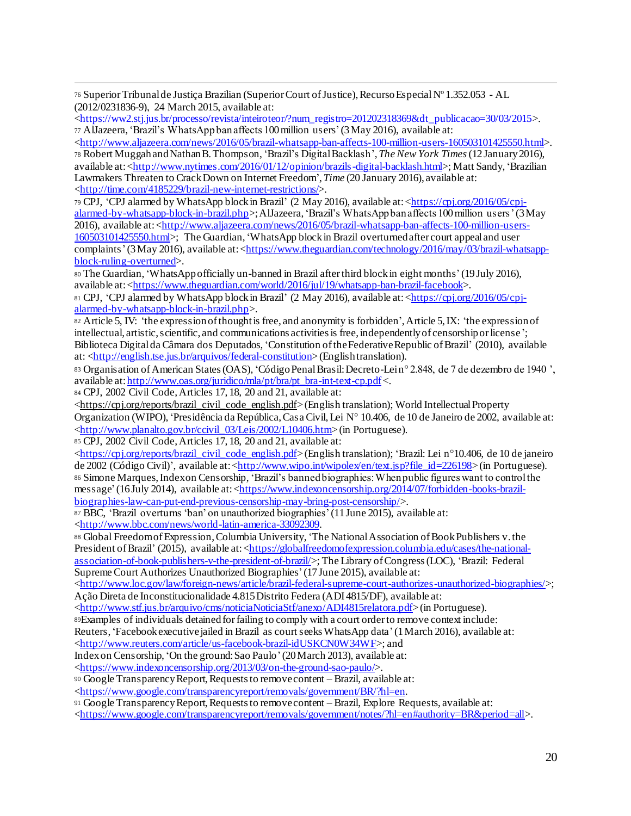l <sup>76</sup> Superior Tribunal de Justiça Brazilian (Superior Court of Justice), Recurso Especial Nº 1.352.053 - AL (2012/0231836-9), 24 March 2015, available at:

<https://ww2.stj.jus.br/processo/revista/inteiroteor/?num\_registro=201202318369&dt\_publicacao=30/03/2015>. <sup>77</sup> AlJazeera, 'Brazil's WhatsApp ban affects 100 million users'(3 May 2016), available at:

<http://www.aljazeera.com/news/2016/05/brazil-whatsapp-ban-affects-100-million-users-160503101425550.html>. <sup>78</sup> Robert Muggah and Nathan B. Thompson, 'Brazil's Digital Backlash', *The New York Times*(12 January 2016), available at: <http://www.nytimes.com/2016/01/12/opinion/brazils-digital-backlash.html>; Matt Sandy, 'Brazilian Lawmakers Threaten to Crack Down on Internet Freedom', *Time* (20 January 2016), available at: <http://time.com/4185229/brazil-new-internet-restrictions/>.

<sup>79</sup> CPJ, 'CPJ alarmed by WhatsApp block in Brazil' (2 May 2016), available at: <https://cpj.org/2016/05/cpjalarmed-by-whatsapp-block-in-brazil.php>; AlJazeera, 'Brazil's WhatsApp ban affects 100 million users'(3 May 2016), available at: <http://www.aljazeera.com/news/2016/05/brazil-whatsapp-ban-affects-100-million-users-

160503101425550.html>; The Guardian, 'WhatsApp block in Brazil overturned after court appeal and user complaints' (3 May 2016), available at: <https://www.theguardian.com/technology/2016/may/03/brazil-whatsappblock-ruling-overturned>.

<sup>80</sup> The Guardian, 'WhatsApp officially un-banned in Brazil after third block in eight months'(19 July 2016), available at: <https://www.theguardian.com/world/2016/jul/19/whatsapp-ban-brazil-facebook>.

<sup>81</sup> CPJ, 'CPJ alarmed by WhatsApp block in Brazil' (2 May 2016), available at: <https://cpj.org/2016/05/cpjalarmed-by-whatsapp-block-in-brazil.php>.

82 Article 5, IV: 'the expression of thought is free, and anonymity is forbidden', Article 5, IX: 'the expression of intellectual, artistic, scientific, and communications activities is free, independently of censorship or license'; Biblioteca Digital da Câmara dos Deputados, 'Constitution of the Federative Republic of Brazil' (2010), available at: <http://english.tse.jus.br/arquivos/federal-constitution> (English translation).

83 Organisation of American States (OAS), 'Código Penal Brasil: Decreto-Lei n° 2.848, de 7 de dezembro de 1940 ', available at: http://www.oas.org/juridico/mla/pt/bra/pt\_bra-int-text-cp.pdf <.

<sup>84</sup> CPJ, 2002 Civil Code, Articles 17, 18, 20 and 21, available at:

 $\langle \frac{\text{https://epj.org/reports/brazil civil code English.pdf}}{\text{https://epj.org/reports/brazil civil code English.pdf}}$  (English translation); World Intellectual Property Organization (WIPO), 'Presidência da República, Casa Civil, Lei N° 10.406, de 10 de Janeiro de 2002, available at: <http://www.planalto.gov.br/ccivil\_03/Leis/2002/L10406.htm> (in Portuguese).

<sup>85</sup> CPJ, 2002 Civil Code, Articles 17, 18, 20 and 21, available at:

<https://cpj.org/reports/brazil\_civil\_code\_english.pdf> (English translation); 'Brazil: Lei n°10.406, de 10 de janeiro de 2002 (Código Civil)', available at: <http://www.wipo.int/wipolex/en/text.jsp?file\_id=226198> (in Portuguese). <sup>86</sup> Simone Marques, Index on Censorship, 'Brazil's banned biographies: When public figures want to control the message' (16 July 2014), available at: <<u>https://www.indexoncensorship.org/2014/07/forbidden-books-brazil-</u> biographies-law-can-put-end-previous-censorship-may-bring-post-censorship/>.

<sup>87</sup> BBC, 'Brazil overturns 'ban' on unauthorized biographies'(11 June 2015), available at: <http://www.bbc.com/news/world-latin-america-33092309.

88 Global Freedom of Expression, Columbia University, 'The National Association of Book Publishers v. the President of Brazil' (2015), available at: <https://globalfreedomofexpression.columbia.edu/cases/the-national-

association-of-book-publishers-v-the-president-of-brazil/>; The Library of Congress (LOC), 'Brazil: Federal Supreme Court Authorizes Unauthorized Biographies'(17 June 2015), available at:

<http://www.loc.gov/law/foreign-news/article/brazil-federal-supreme-court-authorizes-unauthorized-biographies/>; Ação Direta de Inconstitucionalidade 4.815 Distrito Federa (ADI 4815/DF), available at:

<http://www.stf.jus.br/arquivo/cms/noticiaNoticiaStf/anexo/ADI4815relatora.pdf> (in Portuguese).

<sup>89</sup>Examples of individuals detained for failing to comply with a court order to remove context include:

Reuters, 'Facebook executive jailed in Brazil as court seeks WhatsApp data'(1 March 2016), available at:

<http://www.reuters.com/article/us-facebook-brazil-idUSKCN0W34WF>; and

Index on Censorship, 'On the ground: Sao Paulo'(20 March 2013), available at:

<https://www.indexoncensorship.org/2013/03/on-the-ground-sao-paulo/>.

<sup>90</sup> Google Transparency Report, Requests to remove content – Brazil, available at:

<https://www.google.com/transparencyreport/removals/government/BR/?hl=en.

<sup>91</sup> Google Transparency Report, Requests to remove content – Brazil, Explore Requests, available at:

<https://www.google.com/transparencyreport/removals/government/notes/?hl=en#authority=BR&period=all>.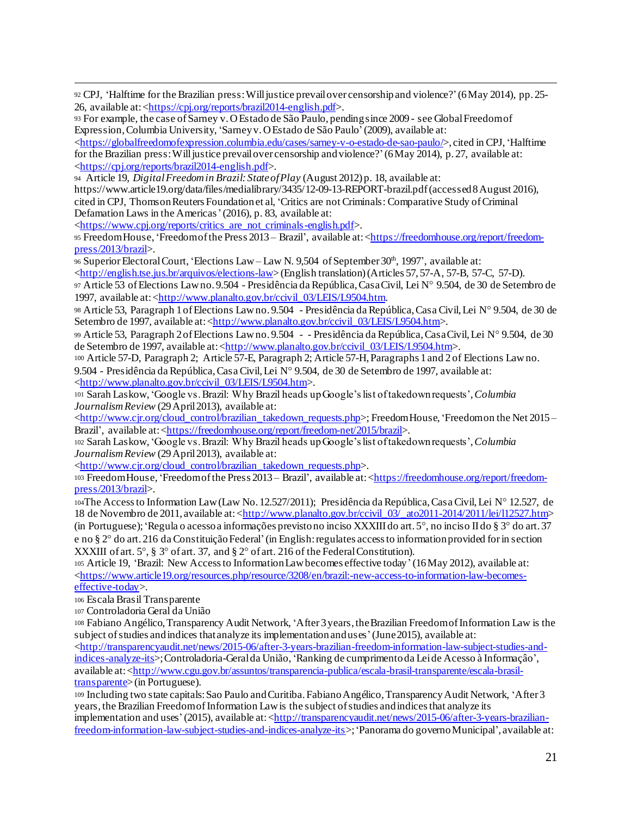l <sup>92</sup> CPJ, 'Halftime for the Brazilian press: Will justice prevail over censorship and violence?'(6 May 2014), pp. 25- 26, available at: <https://cpj.org/reports/brazil2014-english.pdf>.

<sup>93</sup> For example, the case of Sarney v. O Estado de São Paulo, pending since 2009 - see Global Freedom of Expression, Columbia University, 'Sarney v. O Estado de São Paulo'(2009), available at:

<https://globalfreedomofexpression.columbia.edu/cases/sarney-v-o-estado-de-sao-paulo/>, cited in CPJ, 'Halftime for the Brazilian press: Will justice prevail over censorship and violence?'(6 May 2014), p. 27, available at: <https://cpj.org/reports/brazil2014-english.pdf>.

<sup>94</sup> Article 19, *Digital Freedom in Brazil: State of Play* (August 2012) p. 18, available at:

https://www.article19.org/data/files/medialibrary/3435/12-09-13-REPORT-brazil.pdf (accessed 8 August 2016), cited in CPJ, Thomson Reuters Foundation et al, 'Critics are not Criminals: Comparative Study of Criminal Defamation Laws in the Americas'(2016), p. 83, available at:

<https://www.cpj.org/reports/critics\_are\_not\_criminals-english.pdf>.

95 Freedom House, 'Freedom of the Press 2013 – Brazil', available at: <https://freedomhouse.org/report/freedompress/2013/brazil>.

96 Superior Electoral Court, 'Elections Law – Law N. 9,504 of September 30<sup>th</sup>, 1997', available at:

 $\langle$ http://english.tse.jus.br/arquivos/elections-law> (English translation) (Articles 57, 57-A, 57-B, 57-C, 57-D). 97 Article 53 of Elections Law no. 9.504 - Presidência da República, Casa Civil, Lei N° 9.504, de 30 de Setembro de 1997, available at: <http://www.planalto.gov.br/ccivil\_03/LEIS/L9504.htm.

98 Article 53, Paragraph 1 of Elections Law no. 9.504 - Presidência da República, Casa Civil, Lei N° 9.504, de 30 de Setembro de 1997, available at: <**http://www.planalto.gov.br/ccivil\_03/LEIS/L9504.htm>**.

99 Article 53, Paragraph 2 of Elections Law no. 9.504 - - Presidência da República, Casa Civil, Lei N° 9.504, de 30 de Setembro de 1997, available at: <http://www.planalto.gov.br/ccivil\_03/LEIS/L9504.htm>.

<sup>100</sup> Article 57-D, Paragraph 2; Article 57-E, Paragraph 2; Article 57-H, Paragraphs 1 and 2 of Elections Law no. 9.504 - Presidência da República, Casa Civil, Lei N° 9.504, de 30 de Setembro de 1997, available at: <http://www.planalto.gov.br/ccivil\_03/LEIS/L9504.htm>.

<sup>101</sup> Sarah Laskow, 'Google vs. Brazil: Why Brazil heads up Google's list of takedown requests', *Columbia Journalism Review* (29 April 2013), available at:

 $\langle \frac{\text{http://www.cjr.org/cloud control/brazilian-takedown requests.php>}$ ; Freedom House, 'Freedom on the Net 2015 – Brazil', available at: <https://freedomhouse.org/report/freedom-net/2015/brazil>.

<sup>102</sup> Sarah Laskow, 'Google vs. Brazil: Why Brazil heads up Google's list of takedown requests', *Columbia Journalism Review* (29 April 2013), available at:

<http://www.cjr.org/cloud\_control/brazilian\_takedown\_requests.php>.

<sup>103</sup> Freedom House, 'Freedom of the Press 2013 – Brazil', available at: <https://freedomhouse.org/report/freedompress/2013/brazil>.

104The Access to Information Law (Law No. 12.527/2011); Presidência da República, Casa Civil, Lei N° 12.527, de 18 de Novembro de 2011, available at: <http://www.planalto.gov.br/ccivil 03/\_ato2011-2014/2011/lei/l12527.htm>

(in Portuguese); 'Regula o acesso a informações previsto no inciso XXXIII do art. 5°, no inciso II do § 3° do art. 37 e no § 2<sup>o</sup> do art. 216 da Constituição Federal' (in English: regulates access to information provided for in section XXXIII of art.  $5^\circ$ ,  $\S 3^\circ$  of art. 37, and  $\S 2^\circ$  of art. 216 of the Federal Constitution).

<sup>105</sup> Article 19, 'Brazil: New Access to Information Law becomes effective today'(16 May 2012), available at:  $\langle$ https://www.article19.org/resources.php/resource/3208/en/brazil:-new-access-to-information-law-becomeseffective-today>.

<sup>106</sup> Escala Brasil Transparente

<sup>107</sup> Controladoria Geral da União

<sup>108</sup> Fabiano Angélico, Transparency Audit Network, 'After 3 years, the Brazilian Freedom of Information Law is the subject of studies and indices that analyze its implementation and uses'(June 2015), available at:

<http://transparencyaudit.net/news/2015-06/after-3-years-brazilian-freedom-information-law-subject-studies-andindices-analyze-its>; Controladoria-Geral da União, 'Ranking de cumprimento da Lei de Acesso à Informaçâo', available at: <http://www.cgu.gov.br/assuntos/transparencia-publica/escala-brasil-transparente/escala-brasiltransparente> (in Portuguese).

<sup>109</sup> Including two state capitals: Sao Paulo and Curitiba. Fabiano Angélico, Transparency Audit Network, 'After 3 years, the Brazilian Freedom of Information Law is the subject of studies and indices that analyze its implementation and uses' (2015), available at: <http://transparencyaudit.net/news/2015-06/after-3-years-brazilianfreedom-information-law-subject-studies-and-indices-analyze-its>; 'Panorama do governo Municipal', available at: